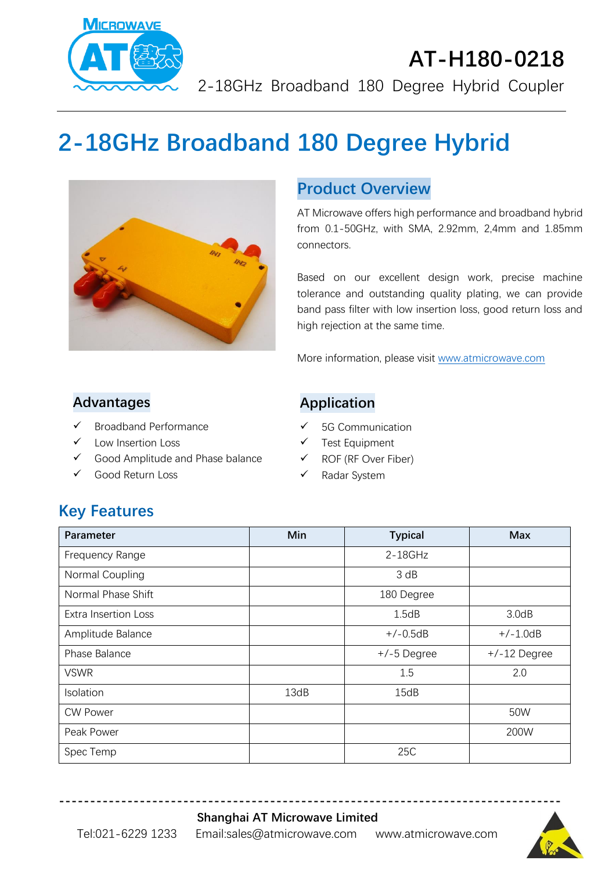

# **AT-H180-0218** 2-18GHz Broadband 180 Degree Hybrid Coupler

# **2-18GHz Broadband 180 Degree Hybrid**



### **Product Overview**

AT Microwave offers high performance and broadband hybrid from 0.1-50GHz, with SMA, 2.92mm, 2,4mm and 1.85mm connectors.

Based on our excellent design work, precise machine tolerance and outstanding quality plating, we can provide band pass filter with low insertion loss, good return loss and high rejection at the same time.

More information, please visit [www.atmicrowave.com](http://www.atmicrowave.com/)

#### **Advantages**

- ✓ Broadband Performance
- Low Insertion Loss
- ✓ Good Amplitude and Phase balance
- ✓ Good Return Loss

#### **Application**

- ✓ 5G Communication
- ✓ Test Equipment
- ✓ ROF (RF Over Fiber)
- ✓ Radar System

## **Key Features**

| Parameter                   | Min  | <b>Typical</b> | <b>Max</b>     |
|-----------------------------|------|----------------|----------------|
| Frequency Range             |      | $2 - 18$ GHz   |                |
| Normal Coupling             |      | 3 dB           |                |
| Normal Phase Shift          |      | 180 Degree     |                |
| <b>Extra Insertion Loss</b> |      | 1.5dB          | 3.0dB          |
| Amplitude Balance           |      | $+/-0.5dB$     | $+/-1.0dB$     |
| Phase Balance               |      | $+/-5$ Degree  | $+/-12$ Degree |
| <b>VSWR</b>                 |      | 1.5            | 2.0            |
| Isolation                   | 13dB | 15dB           |                |
| <b>CW Power</b>             |      |                | 50W            |
| Peak Power                  |      |                | 200W           |
| Spec Temp                   |      | 25C            |                |

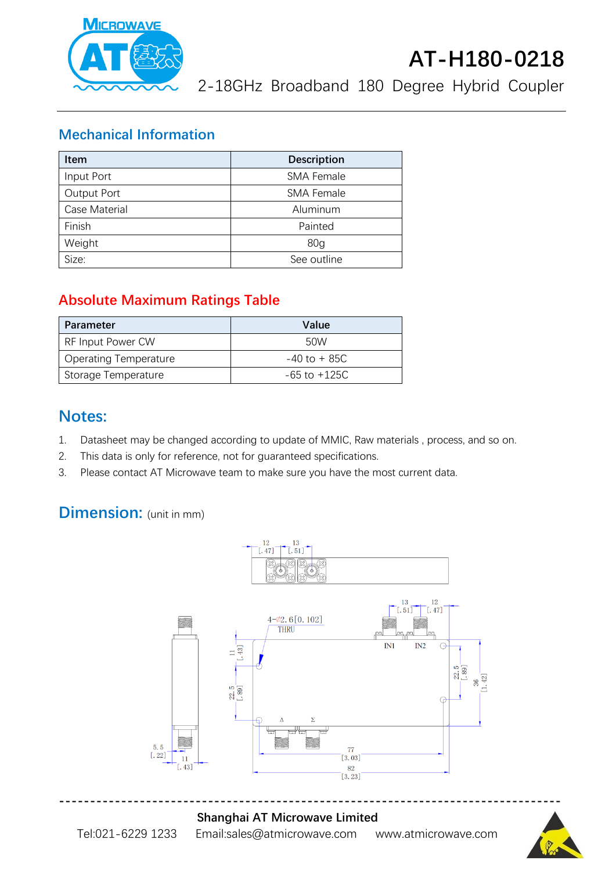

# **AT-H180-0218**

2-18GHz Broadband 180 Degree Hybrid Coupler

#### **Mechanical Information**

| <b>Item</b>   | <b>Description</b> |  |
|---------------|--------------------|--|
| Input Port    | <b>SMA Female</b>  |  |
| Output Port   | <b>SMA Female</b>  |  |
| Case Material | Aluminum           |  |
| Finish        | Painted            |  |
| Weight        | 80 <sub>q</sub>    |  |
| Size:         | See outline        |  |

### **Absolute Maximum Ratings Table**

| Parameter                    | Value            |
|------------------------------|------------------|
| RF Input Power CW            | 50W              |
| <b>Operating Temperature</b> | $-40$ to $+85C$  |
| Storage Temperature          | $-65$ to $+125C$ |

### **Notes:**

- 1. Datasheet may be changed according to update of MMIC, Raw materials , process, and so on.
- 2. This data is only for reference, not for guaranteed specifications.
- 3. Please contact AT Microwave team to make sure you have the most current data.

# **Dimension:** (unit in mm)





#### **Shanghai AT Microwave Limited** Tel:021-6229 1233 Email:sales@atmicrowave.com www.atmicrowave.com